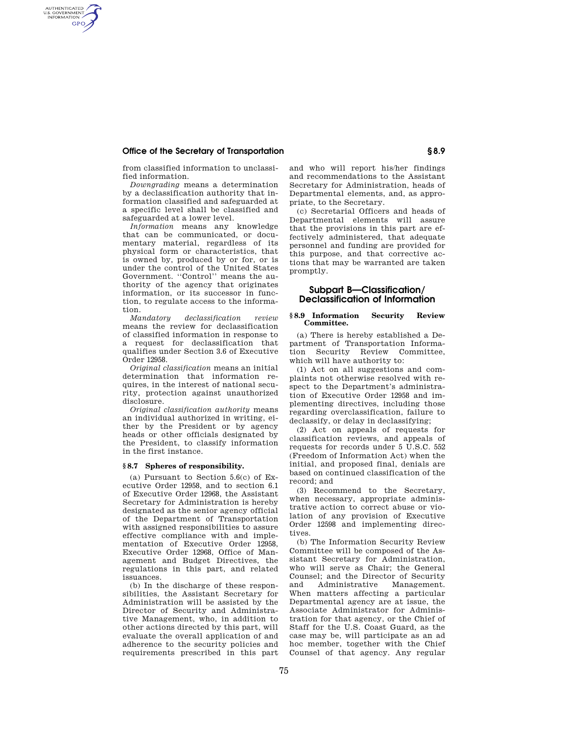## **Office of the Secretary of Transportation § 8.9**

AUTHENTICATED<br>U.S. GOVERNMENT<br>INFORMATION **GPO** 

> from classified information to unclassified information.

*Downgrading* means a determination by a declassification authority that information classified and safeguarded at a specific level shall be classified and safeguarded at a lower level.

*Information* means any knowledge that can be communicated, or documentary material, regardless of its physical form or characteristics, that is owned by, produced by or for, or is under the control of the United States Government. ''Control'' means the authority of the agency that originates information, or its successor in function, to regulate access to the information.

*Mandatory declassification review*  means the review for declassification of classified information in response to a request for declassification that qualifies under Section 3.6 of Executive Order 12958.

*Original classification* means an initial determination that information requires, in the interest of national security, protection against unauthorized disclosure.

*Original classification authority* means an individual authorized in writing, either by the President or by agency heads or other officials designated by the President, to classify information in the first instance.

#### **§ 8.7 Spheres of responsibility.**

(a) Pursuant to Section 5.6(c) of Executive Order 12958, and to section 6.1 of Executive Order 12968, the Assistant Secretary for Administration is hereby designated as the senior agency official of the Department of Transportation with assigned responsibilities to assure effective compliance with and implementation of Executive Order 12958, Executive Order 12968, Office of Management and Budget Directives, the regulations in this part, and related issuances.

(b) In the discharge of these responsibilities, the Assistant Secretary for Administration will be assisted by the Director of Security and Administrative Management, who, in addition to other actions directed by this part, will evaluate the overall application of and adherence to the security policies and requirements prescribed in this part and who will report his/her findings and recommendations to the Assistant Secretary for Administration, heads of Departmental elements, and, as appropriate, to the Secretary.

(c) Secretarial Officers and heads of Departmental elements will assure that the provisions in this part are effectively administered, that adequate personnel and funding are provided for this purpose, and that corrective actions that may be warranted are taken promptly.

# **Subpart B—Classification/ Declassification of Information**

#### **§ 8.9 Information Security Review Committee.**

(a) There is hereby established a Department of Transportation Information Security Review Committee, which will have authority to:

(1) Act on all suggestions and complaints not otherwise resolved with respect to the Department's administration of Executive Order 12958 and implementing directives, including those regarding overclassification, failure to declassify, or delay in declassifying;

(2) Act on appeals of requests for classification reviews, and appeals of requests for records under 5 U.S.C. 552 (Freedom of Information Act) when the initial, and proposed final, denials are based on continued classification of the record; and

(3) Recommend to the Secretary, when necessary, appropriate administrative action to correct abuse or violation of any provision of Executive Order 12598 and implementing directives.

(b) The Information Security Review Committee will be composed of the Assistant Secretary for Administration, who will serve as Chair; the General Counsel; and the Director of Security and Administrative Management. When matters affecting a particular Departmental agency are at issue, the Associate Administrator for Administration for that agency, or the Chief of Staff for the U.S. Coast Guard, as the case may be, will participate as an ad hoc member, together with the Chief Counsel of that agency. Any regular